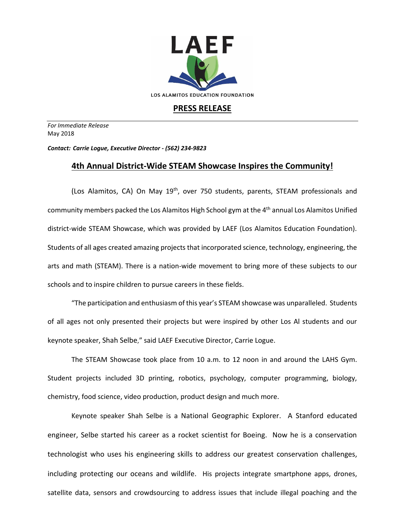

## **PRESS RELEASE**

*For Immediate Release*  May 2018

*Contact: Carrie Logue, Executive Director - (562) 234-9823*

## **4th Annual District-Wide STEAM Showcase Inspires the Community!**

(Los Alamitos, CA) On May 19<sup>th</sup>, over 750 students, parents, STEAM professionals and community members packed the Los Alamitos High School gym at the 4<sup>th</sup> annual Los Alamitos Unified district-wide STEAM Showcase, which was provided by LAEF (Los Alamitos Education Foundation). Students of all ages created amazing projects that incorporated science, technology, engineering, the arts and math (STEAM). There is a nation-wide movement to bring more of these subjects to our schools and to inspire children to pursue careers in these fields.

"The participation and enthusiasm of this year's STEAM showcase was unparalleled. Students of all ages not only presented their projects but were inspired by other Los Al students and our keynote speaker, Shah Selbe," said LAEF Executive Director, Carrie Logue.

The STEAM Showcase took place from 10 a.m. to 12 noon in and around the LAHS Gym. Student projects included 3D printing, robotics, psychology, computer programming, biology, chemistry, food science, video production, product design and much more.

Keynote speaker Shah Selbe is a National Geographic Explorer. A Stanford educated engineer, Selbe started his career as a rocket scientist for Boeing. Now he is a conservation technologist who uses his engineering skills to address our greatest conservation challenges, including protecting our oceans and wildlife. His projects integrate smartphone apps, drones, satellite data, sensors and crowdsourcing to address issues that include illegal poaching and the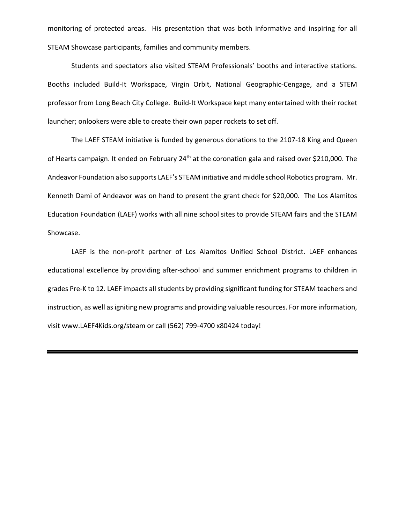monitoring of protected areas. His presentation that was both informative and inspiring for all STEAM Showcase participants, families and community members.

Students and spectators also visited STEAM Professionals' booths and interactive stations. Booths included Build-It Workspace, Virgin Orbit, National Geographic-Cengage, and a STEM professor from Long Beach City College. Build-It Workspace kept many entertained with their rocket launcher; onlookers were able to create their own paper rockets to set off.

The LAEF STEAM initiative is funded by generous donations to the 2107-18 King and Queen of Hearts campaign. It ended on February 24<sup>th</sup> at the coronation gala and raised over \$210,000. The Andeavor Foundation also supports LAEF's STEAM initiative and middle school Robotics program. Mr. Kenneth Dami of Andeavor was on hand to present the grant check for \$20,000. The Los Alamitos Education Foundation (LAEF) works with all nine school sites to provide STEAM fairs and the STEAM Showcase.

LAEF is the non-profit partner of Los Alamitos Unified School District. LAEF enhances educational excellence by providing after-school and summer enrichment programs to children in grades Pre-K to 12. LAEF impacts all students by providing significant funding for STEAM teachers and instruction, as well as igniting new programs and providing valuable resources. For more information, visit www.LAEF4Kids.org/steam or call (562) 799-4700 x80424 today!